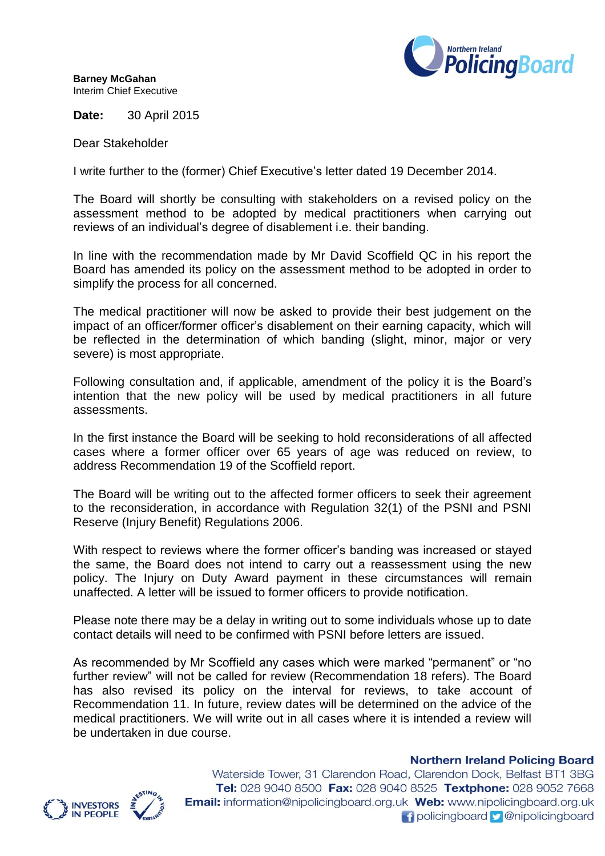

**Barney McGahan** Interim Chief Executive

**Date:** 30 April 2015

Dear Stakeholder

I write further to the (former) Chief Executive's letter dated 19 December 2014.

The Board will shortly be consulting with stakeholders on a revised policy on the assessment method to be adopted by medical practitioners when carrying out reviews of an individual's degree of disablement i.e. their banding.

In line with the recommendation made by Mr David Scoffield QC in his report the Board has amended its policy on the assessment method to be adopted in order to simplify the process for all concerned.

The medical practitioner will now be asked to provide their best judgement on the impact of an officer/former officer's disablement on their earning capacity, which will be reflected in the determination of which banding (slight, minor, major or very severe) is most appropriate.

Following consultation and, if applicable, amendment of the policy it is the Board's intention that the new policy will be used by medical practitioners in all future assessments.

In the first instance the Board will be seeking to hold reconsiderations of all affected cases where a former officer over 65 years of age was reduced on review, to address Recommendation 19 of the Scoffield report.

The Board will be writing out to the affected former officers to seek their agreement to the reconsideration, in accordance with Regulation 32(1) of the PSNI and PSNI Reserve (Injury Benefit) Regulations 2006.

With respect to reviews where the former officer's banding was increased or stayed the same, the Board does not intend to carry out a reassessment using the new policy. The Injury on Duty Award payment in these circumstances will remain unaffected. A letter will be issued to former officers to provide notification.

Please note there may be a delay in writing out to some individuals whose up to date contact details will need to be confirmed with PSNI before letters are issued.

As recommended by Mr Scoffield any cases which were marked "permanent" or "no further review" will not be called for review (Recommendation 18 refers). The Board has also revised its policy on the interval for reviews, to take account of Recommendation 11. In future, review dates will be determined on the advice of the medical practitioners. We will write out in all cases where it is intended a review will be undertaken in due course.





Waterside Tower, 31 Clarendon Road, Clarendon Dock, Belfast BT1 3BG Tel: 028 9040 8500 Fax: 028 9040 8525 Textphone: 028 9052 7668 **Email:** information@nipolicingboard.org.uk Web: www.nipolicingboard.org.uk **f** policingboard **p** @nipolicingboard